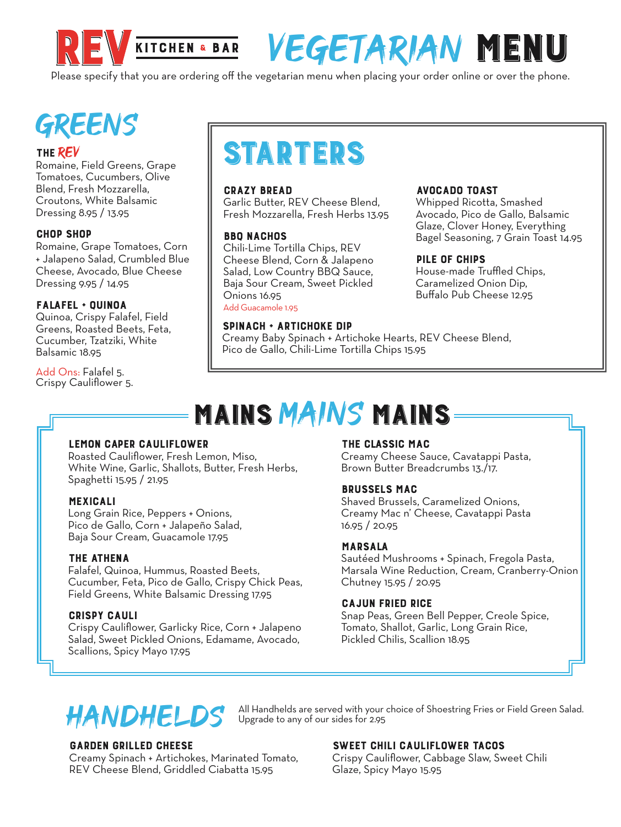

# VEGETARIAN MENU

Please specify that you are ordering off the vegetarian menu when placing your order online or over the phone.

# **GREENS**

#### THE REV

Romain e Tomatoes, Cucumbers, Olive Blend, Fresh Mozzarella, Croutons, White Balsamic Dressing 8.95 / 13.95

#### CHOP SHOP

Romaine, Grape Tomatoes, Corn + Jalapeno Salad, Crumbled Blue Cheese, Avocado, Blue Cheese Dressing 9.95 / 14.95

#### FALAFEL + QUINOA

Quinoa, Crispy Falafel, Field Greens, Roasted Beets, Feta, Cucumber, Tzatziki, White Balsamic 18.95

Add Ons: Falafel 5. Crispy Cauliflower 5.

# STARTERS

#### CRAZY BREAD

Garlic Butter, REV Cheese Blend, Fresh Mozzarella, Fresh Herbs 13.95

#### BBQ NACHOS

Chili-Lime Tortilla Chips, REV Cheese Blend, Corn & Jalapeno Salad, Low Country BBQ Sauce, Baja Sour Cream, Sweet Pickled Onions 16.95 Add Guacamole 1.95

#### SPINACH + ARTICHOKE DIP

Creamy Baby Spinach + Artichoke Hearts, REV Cheese Blend, Pico de Gallo, Chili-Lime Tortilla Chips 15.95

#### AVOCADO TOAST

Whipped Ricotta, Smashed Avocado, Pico de Gallo, Balsamic Glaze, Clover Honey, Everything Bagel Seasoning, 7 Grain Toast 14.95

#### PILE OF CHIPS

House-made Truffled Chips, Caramelized Onion Dip, Buffalo Pub Cheese 12.95

## MAINS MAINS MAINS

Upgrade to any of our sides for 2.95

#### LEMON CAPER CAULIFLOWER

Roasted Cauliflower, Fresh Lemon, Miso, White Wine, Garlic, Shallots, Butter, Fresh Herbs, Spaghetti 15.95 / 21.95

#### MEXICALI

Long Grain Rice, Peppers + Onions, Pico de Gallo, Corn + Jalapeño Salad, Baja Sour Cream, Guacamole 17.95

#### THE ATHENA

Falafel, Quinoa, Hummus, Roasted Beets, Cucumber, Feta, Pico de Gallo, Crispy Chick Peas, Field Greens, White Balsamic Dressing 17.95

#### CRISPY CAULI

Crispy Cauliflower, Garlicky Rice, Corn + Jalapeno Salad, Sweet Pickled Onions, Edamame, Avocado, Scallions, Spicy Mayo 17.95

#### THE CLASSIC MAC

Creamy Cheese Sauce, Cavatappi Pasta, Brown Butter Breadcrumbs 13./17.

#### BRUSSELS MAC

Shaved Brussels, Caramelized Onions, Creamy Mac n' Cheese, Cavatappi Pasta 16.95 / 20.95

#### MARSALA

Sautéed Mushrooms + Spinach, Fregola Pasta, Marsala Wine Reduction, Cream, Cranberry-Onion Chutney 15.95 / 20.95

#### CAJUN FRIED RICE

Snap Peas, Green Bell Pepper, Creole Spice, Tomato, Shallot, Garlic, Long Grain Rice, Pickled Chilis, Scallion 18.95



#### GARDEN GRILLED CHEESE

Creamy Spinach + Artichokes, Marinated Tomato, REV Cheese Blend, Griddled Ciabatta 15.95

#### SWEET CHILI CAULIFLOWER TACOS

All Handhelds are served with your choice of Shoestring Fries or Field Green Salad.

Crispy Cauliflower, Cabbage Slaw, Sweet Chili Glaze, Spicy Mayo 15.95